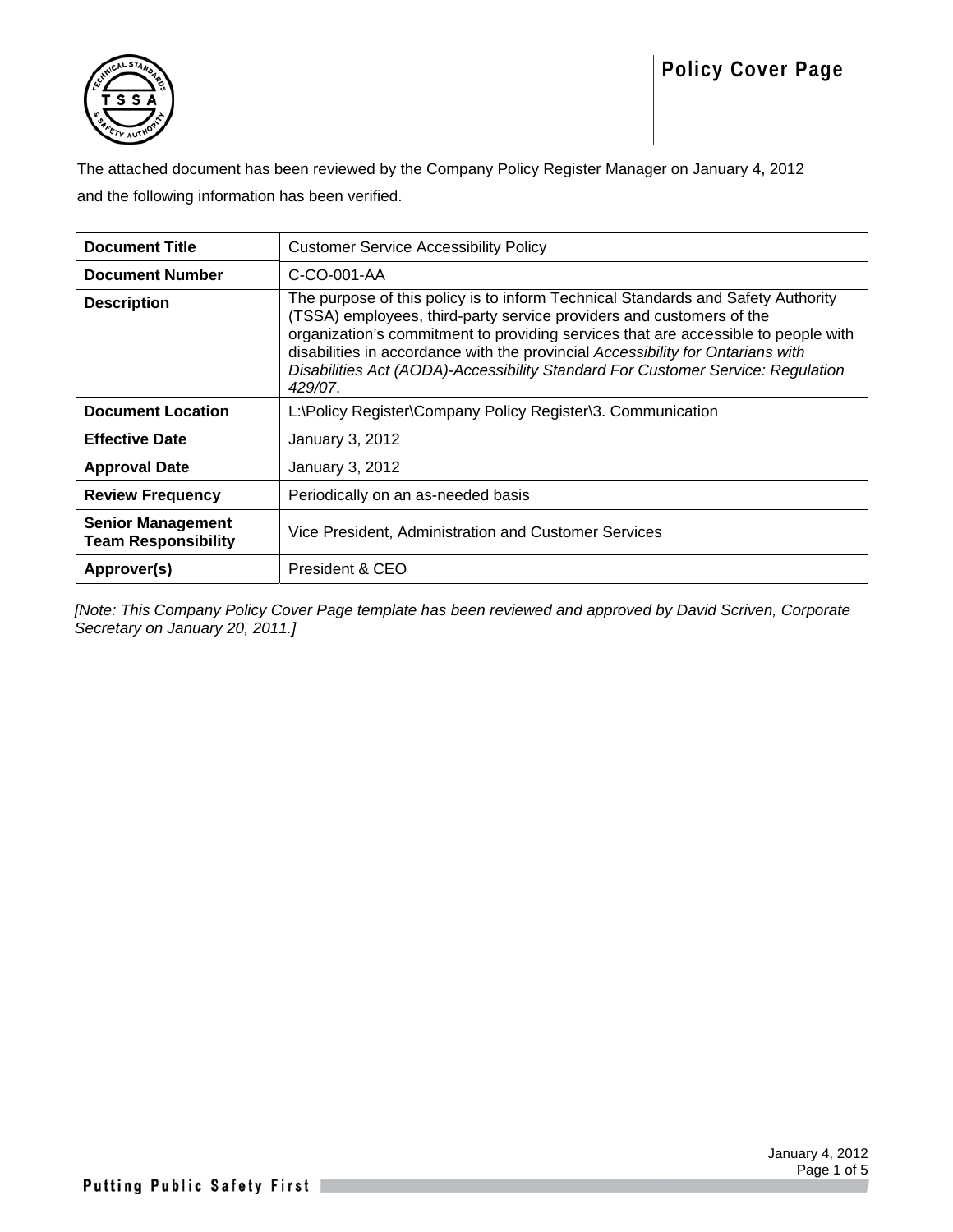

The attached document has been reviewed by the Company Policy Register Manager on January 4, 2012 and the following information has been verified.

| <b>Document Title</b>                                  | <b>Customer Service Accessibility Policy</b>                                                                                                                                                                                                                                                                                                                                                                                    |
|--------------------------------------------------------|---------------------------------------------------------------------------------------------------------------------------------------------------------------------------------------------------------------------------------------------------------------------------------------------------------------------------------------------------------------------------------------------------------------------------------|
| <b>Document Number</b>                                 | C-CO-001-AA                                                                                                                                                                                                                                                                                                                                                                                                                     |
| <b>Description</b>                                     | The purpose of this policy is to inform Technical Standards and Safety Authority<br>(TSSA) employees, third-party service providers and customers of the<br>organization's commitment to providing services that are accessible to people with<br>disabilities in accordance with the provincial Accessibility for Ontarians with<br>Disabilities Act (AODA)-Accessibility Standard For Customer Service: Regulation<br>429/07. |
| <b>Document Location</b>                               | L:\Policy Register\Company Policy Register\3. Communication                                                                                                                                                                                                                                                                                                                                                                     |
| <b>Effective Date</b>                                  | January 3, 2012                                                                                                                                                                                                                                                                                                                                                                                                                 |
| <b>Approval Date</b>                                   | January 3, 2012                                                                                                                                                                                                                                                                                                                                                                                                                 |
| <b>Review Frequency</b>                                | Periodically on an as-needed basis                                                                                                                                                                                                                                                                                                                                                                                              |
| <b>Senior Management</b><br><b>Team Responsibility</b> | Vice President, Administration and Customer Services                                                                                                                                                                                                                                                                                                                                                                            |
| Approver(s)                                            | President & CEO                                                                                                                                                                                                                                                                                                                                                                                                                 |

*[Note: This Company Policy Cover Page template has been reviewed and approved by David Scriven, Corporate Secretary on January 20, 2011.]*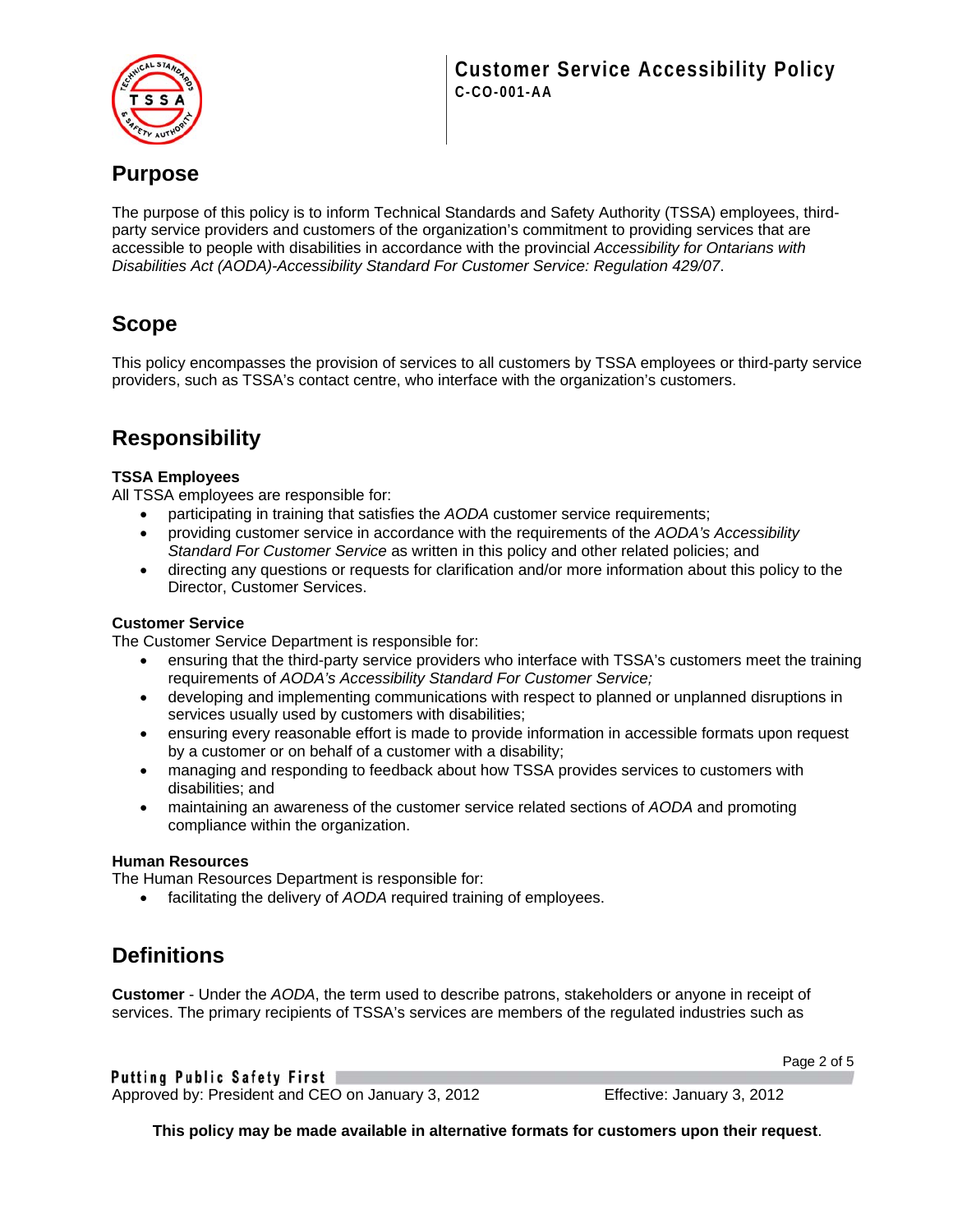

### **Purpose**

The purpose of this policy is to inform Technical Standards and Safety Authority (TSSA) employees, thirdparty service providers and customers of the organization's commitment to providing services that are accessible to people with disabilities in accordance with the provincial *Accessibility for Ontarians with Disabilities Act (AODA)-Accessibility Standard For Customer Service: Regulation 429/07*.

# **Scope**

This policy encompasses the provision of services to all customers by TSSA employees or third-party service providers, such as TSSA's contact centre, who interface with the organization's customers.

# **Responsibility**

### **TSSA Employees**

All TSSA employees are responsible for:

- participating in training that satisfies the *AODA* customer service requirements;
- providing customer service in accordance with the requirements of the *AODA's Accessibility Standard For Customer Service* as written in this policy and other related policies; and
- directing any questions or requests for clarification and/or more information about this policy to the Director, Customer Services.

### **Customer Service**

The Customer Service Department is responsible for:

- ensuring that the third-party service providers who interface with TSSA's customers meet the training requirements of *AODA's Accessibility Standard For Customer Service;*
- developing and implementing communications with respect to planned or unplanned disruptions in services usually used by customers with disabilities;
- ensuring every reasonable effort is made to provide information in accessible formats upon request by a customer or on behalf of a customer with a disability;
- managing and responding to feedback about how TSSA provides services to customers with disabilities; and
- maintaining an awareness of the customer service related sections of *AODA* and promoting compliance within the organization.

### **Human Resources**

The Human Resources Department is responsible for:

facilitating the delivery of *AODA* required training of employees.

# **Definitions**

**Customer** - Under the *AODA*, the term used to describe patrons, stakeholders or anyone in receipt of services. The primary recipients of TSSA's services are members of the regulated industries such as

### Putting Public Safety First

Approved by: President and CEO on January 3, 2012 Effective: January 3, 2012

Page 2 of 5

**This policy may be made available in alternative formats for customers upon their request**.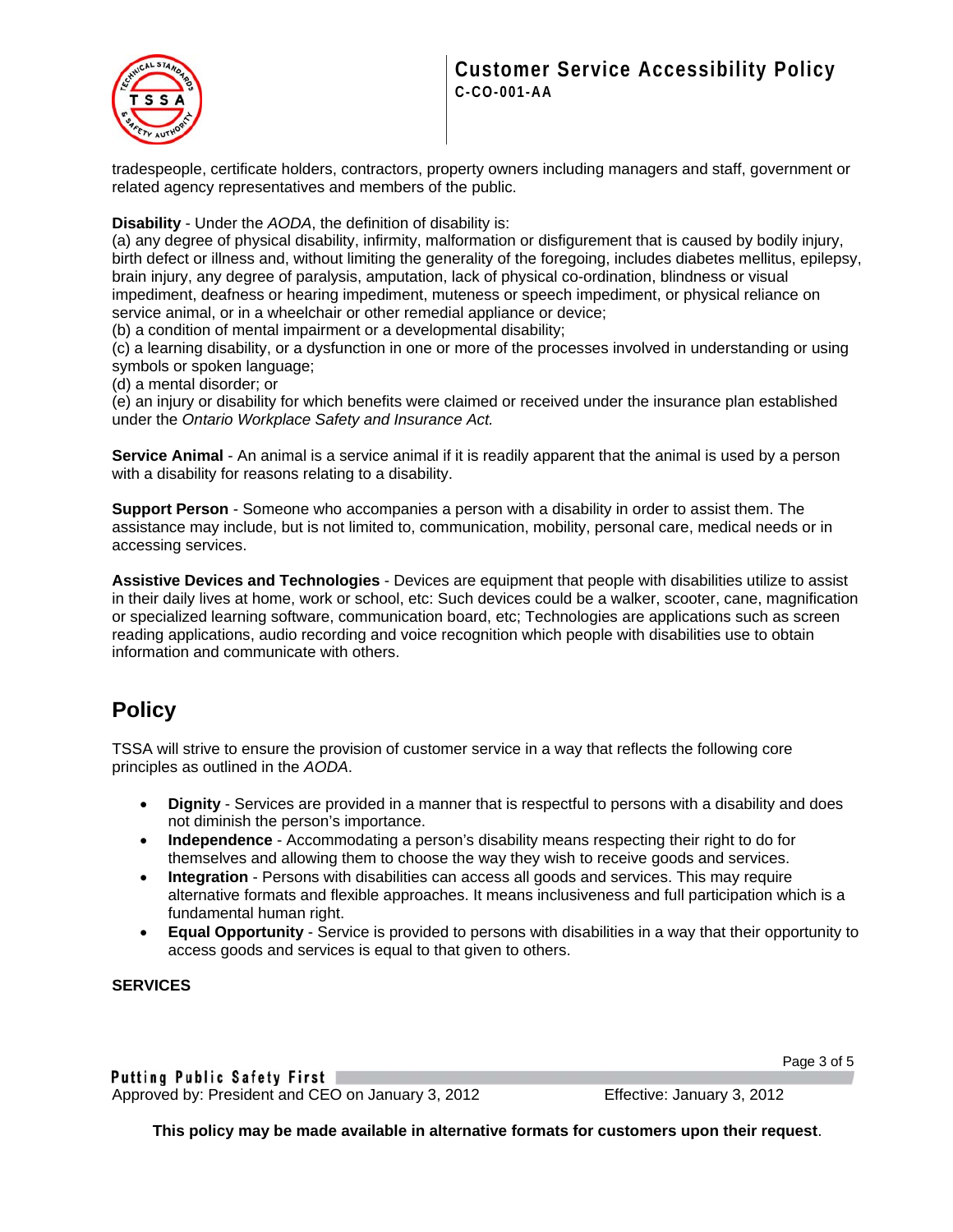### **Customer Service Accessibility Policy C-CO-001-AA**



tradespeople, certificate holders, contractors, property owners including managers and staff, government or related agency representatives and members of the public.

**Disability** - Under the *AODA*, the definition of disability is:

(a) any degree of physical disability, infirmity, malformation or disfigurement that is caused by bodily injury, birth defect or illness and, without limiting the generality of the foregoing, includes diabetes mellitus, epilepsy, brain injury, any degree of paralysis, amputation, lack of physical co-ordination, blindness or visual impediment, deafness or hearing impediment, muteness or speech impediment, or physical reliance on service animal, or in a wheelchair or other remedial appliance or device;

(b) a condition of mental impairment or a developmental disability;

(c) a learning disability, or a dysfunction in one or more of the processes involved in understanding or using symbols or spoken language;

(d) a mental disorder; or

(e) an injury or disability for which benefits were claimed or received under the insurance plan established under the *Ontario Workplace Safety and Insurance Act.*

**Service Animal** - An animal is a service animal if it is readily apparent that the animal is used by a person with a disability for reasons relating to a disability.

**Support Person** - Someone who accompanies a person with a disability in order to assist them. The assistance may include, but is not limited to, communication, mobility, personal care, medical needs or in accessing services.

**Assistive Devices and Technologies** - Devices are equipment that people with disabilities utilize to assist in their daily lives at home, work or school, etc: Such devices could be a walker, scooter, cane, magnification or specialized learning software, communication board, etc; Technologies are applications such as screen reading applications, audio recording and voice recognition which people with disabilities use to obtain information and communicate with others.

# **Policy**

TSSA will strive to ensure the provision of customer service in a way that reflects the following core principles as outlined in the *AODA*.

- **Dignity**  Services are provided in a manner that is respectful to persons with a disability and does not diminish the person's importance.
- **Independence**  Accommodating a person's disability means respecting their right to do for themselves and allowing them to choose the way they wish to receive goods and services.
- **Integration** Persons with disabilities can access all goods and services. This may require alternative formats and flexible approaches. It means inclusiveness and full participation which is a fundamental human right.
- **Equal Opportunity**  Service is provided to persons with disabilities in a way that their opportunity to access goods and services is equal to that given to others.

### **SERVICES**

Page 3 of 5

**This policy may be made available in alternative formats for customers upon their request**.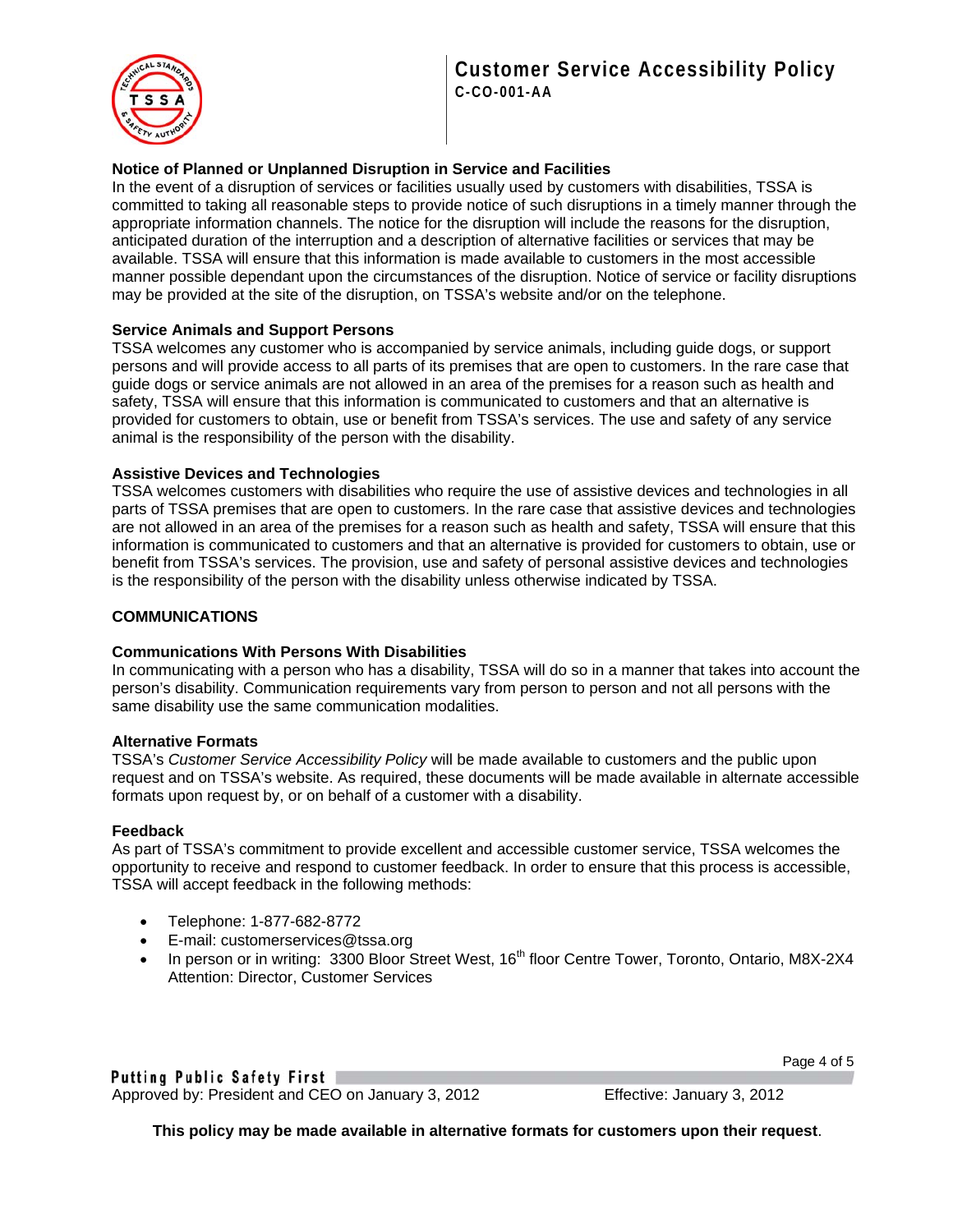

### **Notice of Planned or Unplanned Disruption in Service and Facilities**

In the event of a disruption of services or facilities usually used by customers with disabilities, TSSA is committed to taking all reasonable steps to provide notice of such disruptions in a timely manner through the appropriate information channels. The notice for the disruption will include the reasons for the disruption, anticipated duration of the interruption and a description of alternative facilities or services that may be available. TSSA will ensure that this information is made available to customers in the most accessible manner possible dependant upon the circumstances of the disruption. Notice of service or facility disruptions may be provided at the site of the disruption, on TSSA's website and/or on the telephone.

#### **Service Animals and Support Persons**

TSSA welcomes any customer who is accompanied by service animals, including guide dogs, or support persons and will provide access to all parts of its premises that are open to customers. In the rare case that guide dogs or service animals are not allowed in an area of the premises for a reason such as health and safety, TSSA will ensure that this information is communicated to customers and that an alternative is provided for customers to obtain, use or benefit from TSSA's services. The use and safety of any service animal is the responsibility of the person with the disability.

#### **Assistive Devices and Technologies**

TSSA welcomes customers with disabilities who require the use of assistive devices and technologies in all parts of TSSA premises that are open to customers. In the rare case that assistive devices and technologies are not allowed in an area of the premises for a reason such as health and safety, TSSA will ensure that this information is communicated to customers and that an alternative is provided for customers to obtain, use or benefit from TSSA's services. The provision, use and safety of personal assistive devices and technologies is the responsibility of the person with the disability unless otherwise indicated by TSSA.

#### **COMMUNICATIONS**

#### **Communications With Persons With Disabilities**

In communicating with a person who has a disability, TSSA will do so in a manner that takes into account the person's disability. Communication requirements vary from person to person and not all persons with the same disability use the same communication modalities.

#### **Alternative Formats**

TSSA's *Customer Service Accessibility Policy* will be made available to customers and the public upon request and on TSSA's website. As required, these documents will be made available in alternate accessible formats upon request by, or on behalf of a customer with a disability.

#### **Feedback**

As part of TSSA's commitment to provide excellent and accessible customer service, TSSA welcomes the opportunity to receive and respond to customer feedback. In order to ensure that this process is accessible, TSSA will accept feedback in the following methods:

- Telephone: 1-877-682-8772
- E-mail: customerservices@tssa.org
- In person or in writing: 3300 Bloor Street West, 16<sup>th</sup> floor Centre Tower, Toronto, Ontario, M8X-2X4 Attention: Director, Customer Services

Page 4 of 5

**This policy may be made available in alternative formats for customers upon their request**.